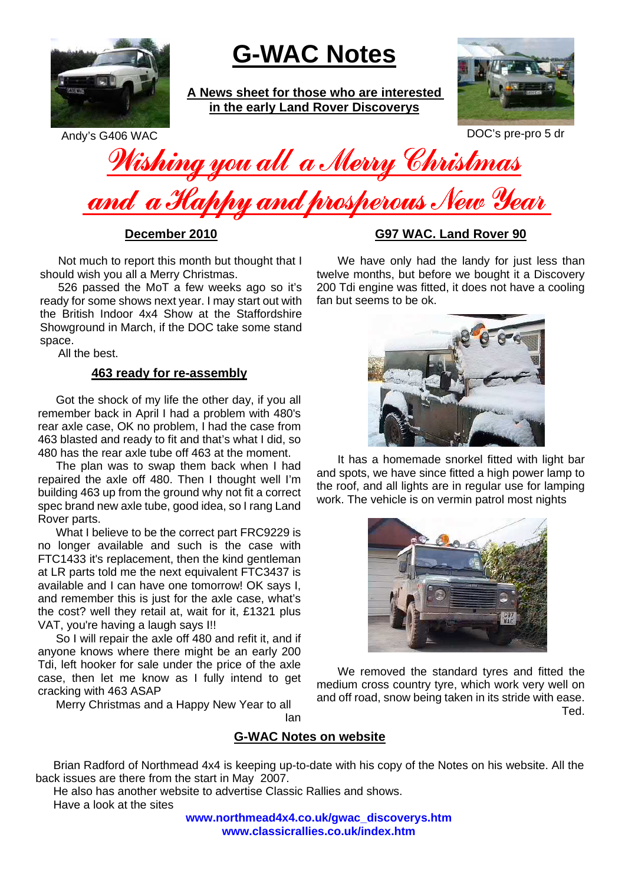

## **G-WAC Notes**

**A News sheet for those who are interested in the early Land Rover Discoverys**



Andy's G406 WAC DOC's pre-pro 5 dr

Wishing you all a Merry Christmas and a Happy and prosperous New Year

**December 2010**

Not much to report this month but thought that I should wish you all a Merry Christmas.

526 passed the MoT a few weeks ago so it's ready for some shows next year. I may start out with the British Indoor 4x4 Show at the Staffordshire Showground in March, if the DOC take some stand space.

All the best.

## **463 ready for re-assembly**

Got the shock of my life the other day, if you all remember back in April I had a problem with 480's rear axle case, OK no problem, I had the case from 463 blasted and ready to fit and that's what I did, so 480 has the rear axle tube off 463 at the moment.

The plan was to swap them back when I had repaired the axle off 480. Then I thought well I'm building 463 up from the ground why not fit a correct spec brand new axle tube, good idea, so I rang Land Rover parts.

What I believe to be the correct part FRC9229 is no longer available and such is the case with FTC1433 it's replacement, then the kind gentleman at LR parts told me the next equivalent FTC3437 is available and I can have one tomorrow! OK says I, and remember this is just for the axle case, what's the cost? well they retail at, wait for it, £1321 plus VAT, you're having a laugh says I!!

So I will repair the axle off 480 and refit it, and if anyone knows where there might be an early 200 Tdi, left hooker for sale under the price of the axle case, then let me know as I fully intend to get cracking with 463 ASAP

Merry Christmas and a Happy New Year to all

## **G97 WAC. Land Rover 90**

We have only had the landy for just less than twelve months, but before we bought it a Discovery 200 Tdi engine was fitted, it does not have a cooling fan but seems to be ok.



It has a homemade snorkel fitted with light bar and spots, we have since fitted a high power lamp to the roof, and all lights are in regular use for lamping work. The vehicle is on vermin patrol most nights



We removed the standard tyres and fitted the medium cross country tyre, which work very well on and off road, snow being taken in its stride with ease. Ted.

**G-WAC Notes on website**

Ian

Brian Radford of Northmead 4x4 is keeping up-to-date with his copy of the Notes on his website. All the back issues are there from the start in May 2007.

He also has another website to advertise Classic Rallies and shows. Have a look at the sites

**www.northmead4x4.co.uk/gwac\_discoverys.htm www.classicrallies.co.uk/index.htm**